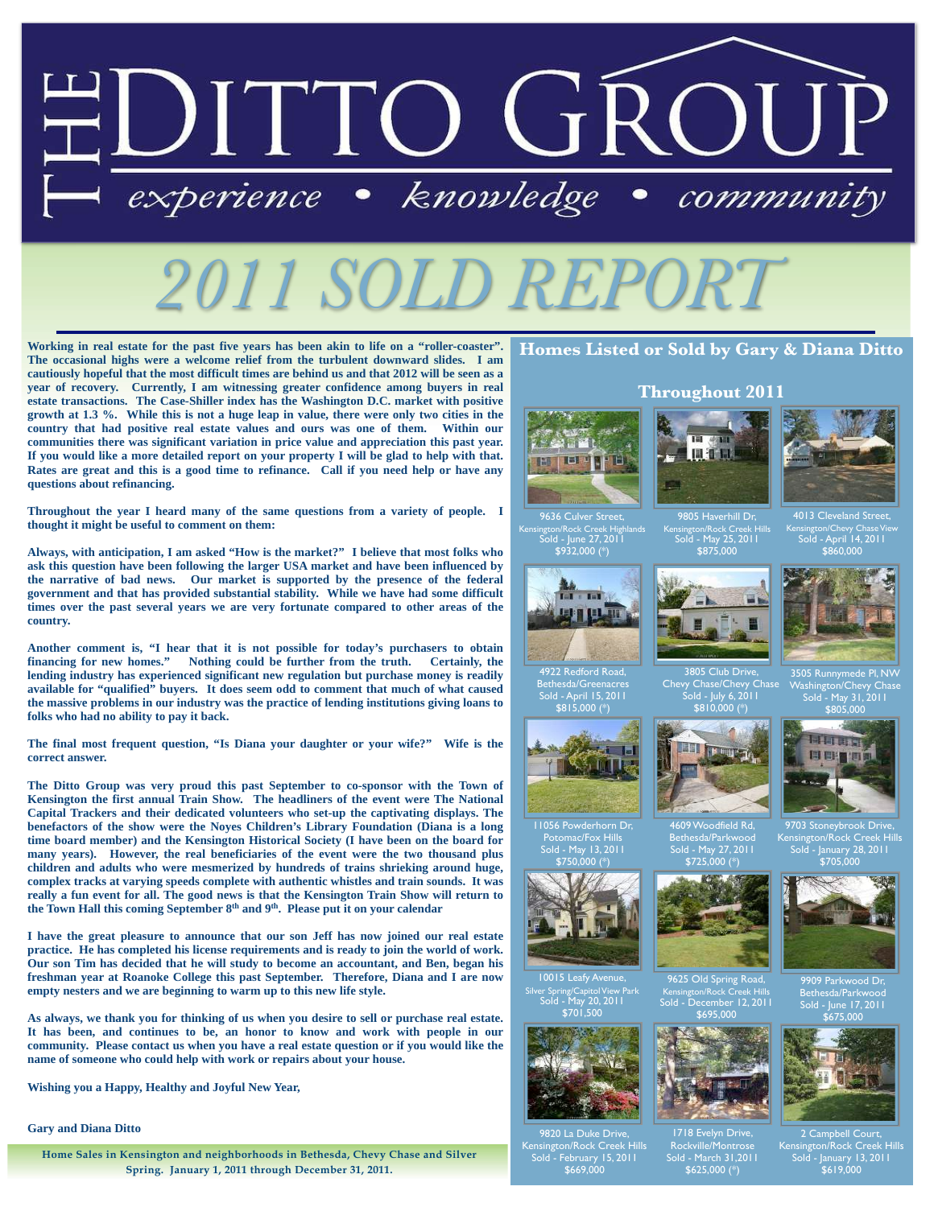

**Working in real estate for the past five years has been akin to life on a "roller-coaster". The occasional highs were a welcome relief from the turbulent downward slides. I am cautiously hopeful that the most difficult times are behind us and that 2012 will be seen as a year of recovery. Currently, I am witnessing greater confidence among buyers in real estate transactions. The Case-Shiller index has the Washington D.C. market with positive growth at 1.3 %. While this is not a huge leap in value, there were only two cities in the country that had positive real estate values and ours was one of them. Within our communities there was significant variation in price value and appreciation this past year. If you would like a more detailed report on your property I will be glad to help with that. Rates are great and this is a good time to refinance. Call if you need help or have any questions about refinancing.**

**Throughout the year I heard many of the same questions from a variety of people. I thought it might be useful to comment on them:**

**Always, with anticipation, I am asked "How is the market?" I believe that most folks who ask this question have been following the larger USA market and have been influenced by the narrative of bad news. Our market is supported by the presence of the federal government and that has provided substantial stability. While we have had some difficult times over the past several years we are very fortunate compared to other areas of the country.** 

**Another comment is, "I hear that it is not possible for today's purchasers to obtain financing for new homes." Nothing could be further from the truth. Certainly, the lending industry has experienced significant new regulation but purchase money is readily available for "qualified" buyers. It does seem odd to comment that much of what caused the massive problems in our industry was the practice of lending institutions giving loans to folks who had no ability to pay it back.** 

**The final most frequent question, "Is Diana your daughter or your wife?" Wife is the correct answer.** 

**The Ditto Group was very proud this past September to co-sponsor with the Town of Kensington the first annual Train Show. The headliners of the event were The National Capital Trackers and their dedicated volunteers who set-up the captivating displays. The benefactors of the show were the Noyes Children's Library Foundation (Diana is a long time board member) and the Kensington Historical Society (I have been on the board for many years). However, the real beneficiaries of the event were the two thousand plus children and adults who were mesmerized by hundreds of trains shrieking around huge, complex tracks at varying speeds complete with authentic whistles and train sounds. It was really a fun event for all. The good news is that the Kensington Train Show will return to the Town Hall this coming September 8th and 9th. Please put it on your calendar**

**I have the great pleasure to announce that our son Jeff has now joined our real estate practice. He has completed his license requirements and is ready to join the world of work. Our son Tim has decided that he will study to become an accountant, and Ben, began his freshman year at Roanoke College this past September. Therefore, Diana and I are now empty nesters and we are beginning to warm up to this new life style.** 

**As always, we thank you for thinking of us when you desire to sell or purchase real estate. It has been, and continues to be, an honor to know and work with people in our community. Please contact us when you have a real estate question or if you would like the name of someone who could help with work or repairs about your house.** 

**Wishing you a Happy, Healthy and Joyful New Year,**

**Gary and Diana Ditto**

**Home Sales in Kensington and neighborhoods in Bethesda, Chevy Chase and Silver Spring. January 1, 2011 through December 31, 2011.**

## **Homes Listed or Sold by Gary & Diana Ditto**





9805 Haverhill Dr, Kensington/Rock Creek Hills Sold - May 25, 2011 \$875,000

Kensington/Chevy Chase View Sold - April 14, 2011 \$860,000



3505 Runnymede Pl, NW Washington/Chevy Chase Sold - May 31, 2011 \$805,000



Kensington/Rock Creek Hills Sold - January 28, 2011 \$705,000



9909 Parkwood Dr, Bethesda/Parkwood Sold - June 17, 2011 \$675,000



ampbell Court,<br>on/Rock Creek <u>Hills</u>, Kensington/Rock Creek Hills Sold - January 13, 2011 \$619,000





4922 Redford Road, Bethesda/Greenacres Sold - April 15, 2011 \$815,000 (\*)



11056 Powderhorn Dr, Potomac/Fox Hills Sold - May 13, 2011



10015 Leafy Avenue, Silver Spring/Capitol View Park Sold - May 20, 2011



on/Rock Cre \$669,000





# Chevy Chase/Chevy Chase



\$750,000 (\*)



\$701,500



9820 La Duke Driv Sold - February 15, 2011



4609 Woodfield Rd,



9625 Old Spring Road,

Kensington/Rock Creek Hills Sold - December 12, 2011 \$695,000

1718 Evelyn Drive, Rockville/Montrose Sold - March 31,2011  $$625,000 (*)$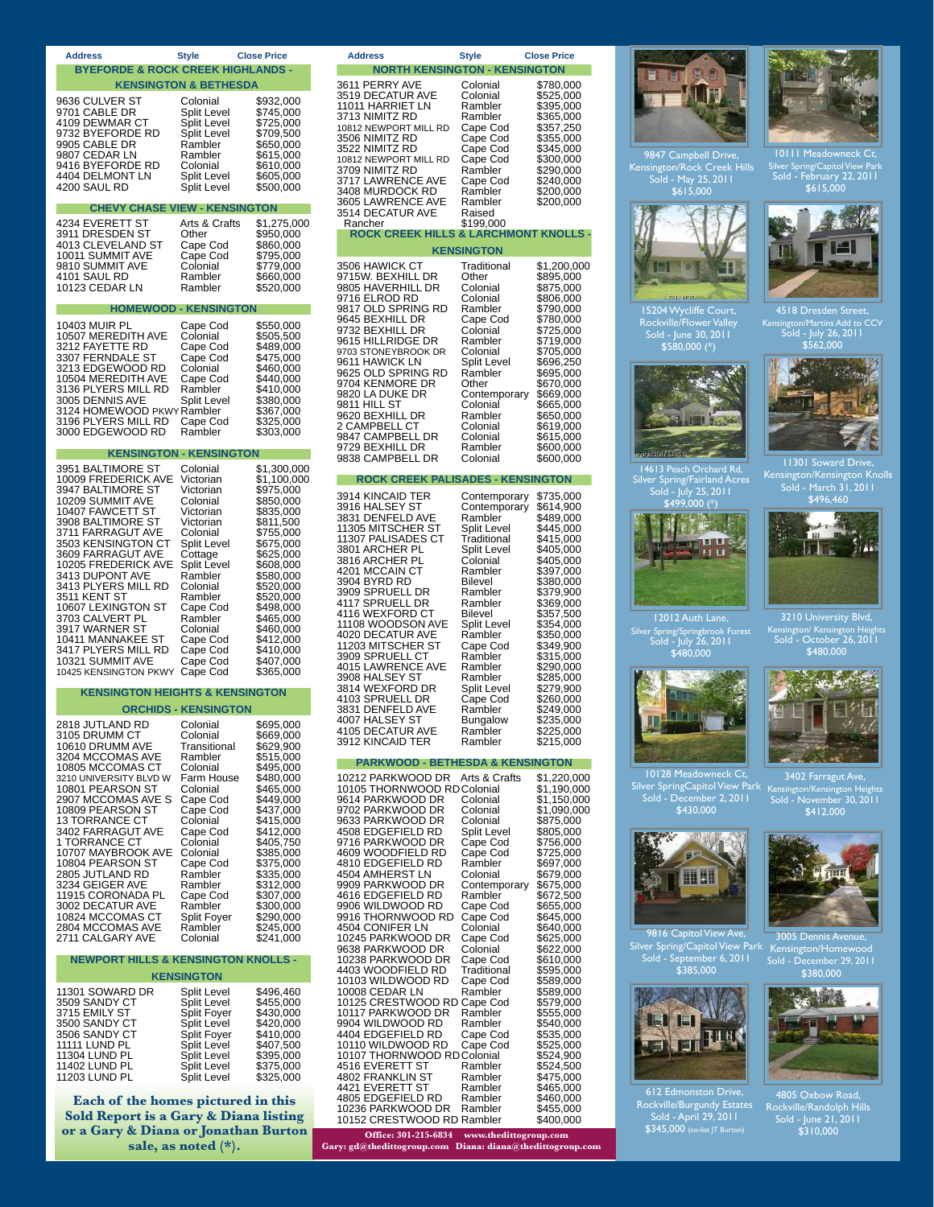| <b>Address</b>                                                                                                                                                 | <b>Style</b>                                                                                                                                                     | <b>Close Price</b>                                                                                                | <b>Address</b>                                                                                                                                                                                                           | <b>Style</b>                                                                                                                 | <b>Close Price</b>                                                                                                               |
|----------------------------------------------------------------------------------------------------------------------------------------------------------------|------------------------------------------------------------------------------------------------------------------------------------------------------------------|-------------------------------------------------------------------------------------------------------------------|--------------------------------------------------------------------------------------------------------------------------------------------------------------------------------------------------------------------------|------------------------------------------------------------------------------------------------------------------------------|----------------------------------------------------------------------------------------------------------------------------------|
| <b>BYEFORDE &amp; ROCK CREEK HIGHLANDS -</b>                                                                                                                   |                                                                                                                                                                  |                                                                                                                   | <b>NORTH KENSINGTON - KENSINGTON</b>                                                                                                                                                                                     |                                                                                                                              |                                                                                                                                  |
| 9636 CULVER ST<br>9701 CABLE DR<br>4109 DEWMAR CT<br>9732 BYEFORDE RD<br>9905 CABLE DR<br>9807 CEDAR LN<br>9416 BYEFORDE RD<br>4404 DELMONT LN<br>4200 SAUL RD | <b>KENSINGTON &amp; BETHESDA</b><br>Colonial<br>Split Level<br><b>Split Level</b><br>Split Level<br>Rambler<br>Rambler<br>Colonial<br>Split Level<br>Split Level | \$932,000<br>\$745,000<br>\$725,000<br>\$709,500<br>\$650,000<br>\$615,000<br>\$610,000<br>\$605,000<br>\$500,000 | 3611 PERRY AVE<br>3519 DECATUR AVE<br>11011 HARRIET LN<br>3713 NIMITZ RD<br>10812 NEWPORT MILL RD<br>3506 NIMITZ RD<br>3522 NIMITZ RD<br>10812 NEWPORT MILL RD<br>3709 NIMITZ RD<br>3717 LAWRENCE AVE<br>3408 MURDOCK RD | Colonial<br>Colonial<br>Rambler<br>Rambler<br>Cape Cod<br>Cape Cod<br>Cape Cod<br>Cape Cod<br>Rambler<br>Cape Cod<br>Rambler | \$780,00<br>\$525,00<br>\$395,00<br>\$365,00<br>\$357,25<br>\$355,00<br>\$345,00<br>\$300,00<br>\$290,00<br>\$240,00<br>\$200,00 |
| <b>CHEVY CHASE VIEW - KENSINGTON</b>                                                                                                                           |                                                                                                                                                                  |                                                                                                                   | 3605 LAWRENCE AVE<br>3514 DECATUR AVE                                                                                                                                                                                    | Rambler<br>Raised                                                                                                            | \$200,00                                                                                                                         |
| 4234 EVERETT ST                                                                                                                                                | Arts & Crafts                                                                                                                                                    | \$1,275,000                                                                                                       | Rancher                                                                                                                                                                                                                  | \$199,000                                                                                                                    |                                                                                                                                  |
| 3911 DRESDEN ST<br>4013 CLEVELAND ST                                                                                                                           | Other<br>Cape Cod                                                                                                                                                | \$950,000<br>\$860,000                                                                                            | ROCK CREEK HILLS & LARCHMONT KNOLI                                                                                                                                                                                       | <b>KENSINGTON</b>                                                                                                            |                                                                                                                                  |
| 10011 SUMMIT AVE<br>9810 SUMMIT AVE                                                                                                                            | Cape Cod<br>Colonial                                                                                                                                             | \$795,000<br>\$779.000                                                                                            | 3506 HAWICK CT                                                                                                                                                                                                           | Traditional                                                                                                                  | \$1,200,                                                                                                                         |
| 4101 SAUL RD<br>10123 CEDAR LN                                                                                                                                 | Rambler<br>Rambler                                                                                                                                               | \$660,000<br>\$520,000                                                                                            | 9715W. BEXHILL DR<br>9805 HAVERHILL DR                                                                                                                                                                                   | Other<br>Colonial                                                                                                            | \$895,00<br>\$875,00                                                                                                             |
|                                                                                                                                                                |                                                                                                                                                                  |                                                                                                                   | 9716 ELROD RD                                                                                                                                                                                                            | Colonial                                                                                                                     | \$806,00                                                                                                                         |
| 10403 MUIR PL                                                                                                                                                  | <b>HOMEWOOD - KENSINGTON</b><br>Cape Cod                                                                                                                         | \$550,000                                                                                                         | 9817 OLD SPRING RD<br>9645 BEXHILL DR                                                                                                                                                                                    | Rambler<br>Cape Cod                                                                                                          | \$790,00<br>\$780,00                                                                                                             |
| 10507 MEREDITH AVE                                                                                                                                             | Colonial                                                                                                                                                         | \$505,500                                                                                                         | 9732 BEXHILL DR<br>9615 HILLRIDGE DR                                                                                                                                                                                     | Colonial<br>Rambler                                                                                                          | \$725,00<br>\$719,00                                                                                                             |
| 3212 FAYETTE RD<br>3307 FERNDALE ST                                                                                                                            | Cape Cod<br>Cape Cod                                                                                                                                             | \$489,000<br>\$475,000                                                                                            | 9703 STONEYBROOK DR<br>9611 HAWICK LN                                                                                                                                                                                    | Colonial<br>Split Level                                                                                                      | \$705,00<br>\$696,25                                                                                                             |
| 3213 EDGEWOOD RD<br>10504 MEREDITH AVE                                                                                                                         | Colonial<br>Cape Cod                                                                                                                                             | \$460,000<br>\$440,000                                                                                            | 9625 OLD SPRING RD                                                                                                                                                                                                       | Rambler                                                                                                                      | \$695,00                                                                                                                         |
| 3136 PLYERS MILL RD<br>3005 DENNIS AVE                                                                                                                         | Rambler<br>Split Level                                                                                                                                           | \$410,000                                                                                                         | 9704 KENMORE DR<br>9820 LA DUKE DR                                                                                                                                                                                       | Other<br>Contemporary                                                                                                        | \$670,00<br>\$669,00                                                                                                             |
| 3124 HOMEWOOD PKWY Rambler                                                                                                                                     |                                                                                                                                                                  | \$380,000<br>\$367,000                                                                                            | 9811 HILL ST<br>9620 BEXHILL DR                                                                                                                                                                                          | Colonial<br>Rambler                                                                                                          | \$665,00<br>\$650,00                                                                                                             |
| 3196 PLYERS MILL RD<br>3000 EDGEWOOD RD                                                                                                                        | Cape Cod<br>Rambler                                                                                                                                              | \$325,000<br>\$303,000                                                                                            | 2 CAMPBELL CT                                                                                                                                                                                                            | Colonial                                                                                                                     | \$619,00                                                                                                                         |
|                                                                                                                                                                | <b>KENSINGTON - KENSINGTON</b>                                                                                                                                   |                                                                                                                   | 9847 CAMPBELL DR<br>9729 BEXHILL DR                                                                                                                                                                                      | Colonial<br>Rambler                                                                                                          | \$615,00<br>\$600,00                                                                                                             |
| 3951 BALTIMORE ST                                                                                                                                              | Colonial                                                                                                                                                         | \$1,300,000                                                                                                       | 9838 CAMPBELL DR                                                                                                                                                                                                         | Colonial                                                                                                                     | \$600,00                                                                                                                         |
| 10009 FREDERICK AVE<br>3947 BALTIMORE ST                                                                                                                       | Victorian<br>Victorian                                                                                                                                           | \$1,100,000<br>\$975,000                                                                                          | <b>ROCK CREEK PALISADES - KENSINGTON</b>                                                                                                                                                                                 |                                                                                                                              |                                                                                                                                  |
| 10209 SUMMIT AVE<br>10407 FAWCETT ST                                                                                                                           | Colonial<br>Victorian                                                                                                                                            | \$850,000<br>\$835,000                                                                                            | 3914 KINCAID TER<br>3916 HALSEY ST                                                                                                                                                                                       | Contemporary<br>Contemporary                                                                                                 | \$735,00<br>\$614,90                                                                                                             |
| 3908 BALTIMORE ST                                                                                                                                              | Victorian                                                                                                                                                        | \$811,500                                                                                                         | 3831 DENFELD AVE<br>11305 MITSCHER ST                                                                                                                                                                                    | Rambler<br>Split Level                                                                                                       | \$489,00<br>\$445,00                                                                                                             |
| 3711 FARRAGUT AVE<br>3503 KENSINGTON CT                                                                                                                        | Colonial<br>Split Level                                                                                                                                          | \$755,000<br>\$675,000                                                                                            | 11307 PALISADES CT                                                                                                                                                                                                       | Traditional                                                                                                                  | \$415,00                                                                                                                         |
| 3609 FARRAGUT AVE<br>10205 FREDERICK AVE                                                                                                                       | Cottage<br>Split Level                                                                                                                                           | \$625,000<br>\$608,000                                                                                            | 3801 ARCHER PL<br>3816 ARCHER PL                                                                                                                                                                                         | Split Level<br>Colonial                                                                                                      | \$405,00<br>\$405,00                                                                                                             |
| 3413 DUPONT AVE                                                                                                                                                | Rambler                                                                                                                                                          | \$580,000                                                                                                         | 4201 MCCAIN CT<br>3904 BYRD RD                                                                                                                                                                                           | Rambler<br><b>Bilevel</b>                                                                                                    | \$397,00<br>\$380,00                                                                                                             |
| 3413 PLYERS MILL RD<br>3511 KENT ST                                                                                                                            | Colonial<br>Rambler                                                                                                                                              | \$520,000<br>\$520,000                                                                                            | 3909 SPRUELL DR<br>4117 SPRUELL DR                                                                                                                                                                                       | Rambler<br>Rambler                                                                                                           | \$379,90<br>\$369,00                                                                                                             |
| 10607 LEXINGTON ST<br>3703 CALVERT PL                                                                                                                          | Cape Cod<br>Rambler                                                                                                                                              | \$498,000<br>\$465,000                                                                                            | 4116 WEXFORD CT                                                                                                                                                                                                          | Bilevel                                                                                                                      | \$357,50                                                                                                                         |
| 3917 WARNER ST<br>10411 MANNAKEE ST                                                                                                                            | Colonial<br>Cape Cod                                                                                                                                             | \$460,000<br>\$412,000                                                                                            | 11108 WOODSON AVE<br>4020 DECATUR AVE                                                                                                                                                                                    | Split Level<br>Rambler                                                                                                       | \$354,00<br>\$350,00                                                                                                             |
| 3417 PLYERS MILL RD                                                                                                                                            | Cape Cod                                                                                                                                                         | \$410,000                                                                                                         | 11203 MITSCHER ST<br>3909 SPRUELL CT                                                                                                                                                                                     | Cape Cod<br>Rambler                                                                                                          | \$349,90<br>\$315,00                                                                                                             |
| 10321 SUMMIT AVE<br>10425 KENSINGTON PKWY Cape Cod                                                                                                             | Cape Cod                                                                                                                                                         | \$407,000<br>\$365,000                                                                                            | 4015 LAWRENCE AVE<br>3908 HALSEY ST                                                                                                                                                                                      | Rambler<br>Rambler                                                                                                           | \$290,00                                                                                                                         |
| <b>KENSINGTON HEIGHTS &amp; KENSINGTON</b>                                                                                                                     |                                                                                                                                                                  |                                                                                                                   | 3814 WEXFORD DR                                                                                                                                                                                                          | Split Level                                                                                                                  | \$285,00<br>\$279,90                                                                                                             |
|                                                                                                                                                                | <b>ORCHIDS - KENSINGTON</b>                                                                                                                                      |                                                                                                                   | 4103 SPRUELL DR<br>3831 DENFELD AVE                                                                                                                                                                                      | Cape Cod<br>Rambler                                                                                                          | \$260,00<br>\$249,00                                                                                                             |
| 2818 JUTLAND RD                                                                                                                                                | Colonial                                                                                                                                                         | \$695,000                                                                                                         | 4007 HALSEY ST<br>4105 DECATUR AVE                                                                                                                                                                                       | <b>Bungalow</b><br>Rambler                                                                                                   | \$235,00<br>\$225,00                                                                                                             |
| 3105 DRUMM CT<br>10610 DRUMM AVE                                                                                                                               | Colonial<br>Transitional                                                                                                                                         | \$669,000<br>\$629,900                                                                                            | 3912 KINCAID TER                                                                                                                                                                                                         | Rambler                                                                                                                      | \$215,00                                                                                                                         |
| 3204 MCCOMAS AVE<br>10805 MCCOMAS CT                                                                                                                           | Rambler<br>Colonial                                                                                                                                              | \$515,000<br>\$495,000                                                                                            | <b>PARKWOOD - BETHESDA &amp; KENSINGTON</b>                                                                                                                                                                              |                                                                                                                              |                                                                                                                                  |
| 3210 UNIVERSITY BLVD W<br>10801 PEARSON ST                                                                                                                     | Farm House<br>Colonial                                                                                                                                           | \$480,000<br>\$465,000                                                                                            | 10212 PARKWOOD DR<br>10105 THORNWOOD RD Colonial                                                                                                                                                                         | Arts & Crafts                                                                                                                | \$1,220,0<br>\$1,190,0                                                                                                           |
| 2907 MCCOMAS AVE S<br>10809 PEARSON ST                                                                                                                         | Cape Cod<br>Cape Cod                                                                                                                                             | \$449,000<br>\$437,000                                                                                            | 9614 PARKWOOD DR<br>9702 PARKWOOD DR                                                                                                                                                                                     | Colonial<br>Colonial                                                                                                         | \$1,150,0<br>\$1,090,                                                                                                            |
| <b>13 TORRANCE CT</b>                                                                                                                                          | Colonial                                                                                                                                                         | \$415,000                                                                                                         | 9633 PARKWOOD DR                                                                                                                                                                                                         | Colonial                                                                                                                     | \$875,00                                                                                                                         |
| 3402 FARRAGUT AVE<br>1 TORRANCE CT                                                                                                                             | Cape Cod<br>Colonial                                                                                                                                             | \$412,000<br>\$405,750                                                                                            | 4508 EDGEFIELD RD<br>9716 PARKWOOD DR                                                                                                                                                                                    | <b>Split Level</b><br>Cape Cod                                                                                               | \$805,00<br>\$756,00                                                                                                             |
| 10707 MAYBROOK AVE<br>10804 PEARSON ST                                                                                                                         | Colonial<br>Cape Cod                                                                                                                                             | \$385,000<br>\$375,000                                                                                            | 4609 WOODFIELD RD<br>4810 EDGEFIELD RD                                                                                                                                                                                   | Cape Cod<br>Rambler                                                                                                          | \$725,00<br>\$697,00                                                                                                             |
| 2805 JUTLAND RD                                                                                                                                                | Rambler                                                                                                                                                          | \$335,000                                                                                                         | 4504 AMHERST LN                                                                                                                                                                                                          | Colonial                                                                                                                     | \$679,00                                                                                                                         |
| 3234 GEIGER AVE<br>11915 CORONADA PL                                                                                                                           | Rambler<br>Cape Cod                                                                                                                                              | \$312,000<br>\$307,000                                                                                            | 9909 PARKWOOD DR<br>4616 EDGEFIELD RD                                                                                                                                                                                    | Contemporary<br>Rambler                                                                                                      | \$675,00<br>\$672,50                                                                                                             |
| 3002 DECATUR AVE<br>10824 MCCOMAS CT                                                                                                                           | Rambler<br>Split Foyer                                                                                                                                           | \$300,000<br>\$290,000                                                                                            | 9906 WILDWOOD RD<br>9916 THORNWOOD RD                                                                                                                                                                                    | Cape Cod<br>Cape Cod                                                                                                         | \$655,00<br>\$645,00                                                                                                             |
| 2804 MCCOMAS AVE<br>2711 CALGARY AVE                                                                                                                           | Rambler<br>Colonial                                                                                                                                              | \$245,000<br>\$241,000                                                                                            | 4504 CONIFER LN<br>10245 PARKWOOD DR                                                                                                                                                                                     | Colonial<br>Cape Cod                                                                                                         | \$640,00<br>\$625,00                                                                                                             |
|                                                                                                                                                                |                                                                                                                                                                  |                                                                                                                   | 9638 PARKWOOD DR                                                                                                                                                                                                         | Colonial                                                                                                                     | \$622,00                                                                                                                         |
| <b>NEWPORT HILLS &amp; KENSINGTON KNOLLS -</b>                                                                                                                 | <b>KENSINGTON</b>                                                                                                                                                |                                                                                                                   | 10238 PARKWOOD DR<br>4403 WOODFIELD RD                                                                                                                                                                                   | Cape Cod<br>Traditional                                                                                                      | \$610,00<br>\$595,00                                                                                                             |
| 11301 SOWARD DR                                                                                                                                                | Split Level                                                                                                                                                      | \$496,460                                                                                                         | 10103 WILDWOOD RD<br>10008 CEDAR LN                                                                                                                                                                                      | Cape Cod<br>Rambler                                                                                                          | \$589,00<br>\$589,00                                                                                                             |
| 3509 SANDY CT<br>3715 EMILY ST                                                                                                                                 | Split Level<br>Split Foyer                                                                                                                                       | \$455,000<br>\$430,000                                                                                            | 10125 CRESTWOOD RD Cape Cod<br>10117 PARKWOOD DR                                                                                                                                                                         | Rambler                                                                                                                      | \$579,00<br>\$555,00                                                                                                             |
| 3500 SANDY CT                                                                                                                                                  | Split Level                                                                                                                                                      | \$420,000                                                                                                         | 9904 WILDWOOD RD                                                                                                                                                                                                         | Rambler                                                                                                                      | \$540,00                                                                                                                         |
| 3506 SANDY CT<br><b>11111 LUND PL</b>                                                                                                                          | Split Foyer<br>Split Level                                                                                                                                       | \$410,000<br>\$407,500                                                                                            | 4404 EDGEFIELD RD<br>10110 WILDWOOD RD                                                                                                                                                                                   | Cape Cod<br>Cape Cod                                                                                                         | \$535,00<br>\$525,00                                                                                                             |
| 11304 LUND PL<br><b>11402 LUND PL</b>                                                                                                                          | Split Level<br>Split Level                                                                                                                                       | \$395,000<br>\$375,000                                                                                            | 10107 THORNWOOD RD Colonial<br>4516 EVERETT ST                                                                                                                                                                           | Rambler                                                                                                                      | \$524,90<br>\$524,50                                                                                                             |
| 11203 LUND PL                                                                                                                                                  | Split Level                                                                                                                                                      | \$325,000                                                                                                         | 4802 FRANKLIN ST<br>4421 EVERETT ST                                                                                                                                                                                      | Rambler<br>Rambler                                                                                                           | \$475,00<br>\$465,00                                                                                                             |
| Each of the homes pictured in this                                                                                                                             |                                                                                                                                                                  |                                                                                                                   | 4805 EDGEFIELD RD<br>20.0101000                                                                                                                                                                                          | Rambler                                                                                                                      | \$460,00                                                                                                                         |

**Sold Report is a Gary & Diana listing or a Gary & Diana or Jonathan Burton sale, as noted (\*).**

| <b>NORTH KENSINGTON - KENSINGTON</b>                                                                                                                                                                                                                                                                                                                                                                                                                                                                                                                                                                                                                                                                                   |                                                                                                                                                                                                                                                                                                                                              |                                                                                                                                                                                                                                                                                                                                                                                                                                    |
|------------------------------------------------------------------------------------------------------------------------------------------------------------------------------------------------------------------------------------------------------------------------------------------------------------------------------------------------------------------------------------------------------------------------------------------------------------------------------------------------------------------------------------------------------------------------------------------------------------------------------------------------------------------------------------------------------------------------|----------------------------------------------------------------------------------------------------------------------------------------------------------------------------------------------------------------------------------------------------------------------------------------------------------------------------------------------|------------------------------------------------------------------------------------------------------------------------------------------------------------------------------------------------------------------------------------------------------------------------------------------------------------------------------------------------------------------------------------------------------------------------------------|
| 3611 PERRY AVE<br>3519 DECATUR AVE<br>11011 HARRIET LN<br>3713 NIMITZ RD<br>10812 NEWPORT MILL RD<br>3506 NIMITZ RD<br>3522 NIMITZ RD<br>10812 NEWPORT MILL RD<br>3709 NIMITZ RD<br>3717 LAWRENCE AVE<br>3408 MURDOCK RD<br>3605 LAWRENCE AVE<br>3514 DECATUR AVE<br>Rancher                                                                                                                                                                                                                                                                                                                                                                                                                                           | Colonial<br>Colonial<br>Rambler<br>Rambler<br>Cape Cod<br>Cape Cod<br>Cape Cod<br>Cape Cod<br>Rambler<br>Cape Cod<br>Rambler<br>Rambler<br>Raised<br>\$199,000                                                                                                                                                                               | \$780,000<br>\$525,000<br>\$395,000<br>\$365,000<br>\$357,250<br>\$355,000<br>\$345,000<br>\$300,000<br>\$290,000<br>\$240,000<br>\$200,000<br>\$200,000                                                                                                                                                                                                                                                                           |
| ROCK CREEK HILLS & LARCHMONT KNOLLS -                                                                                                                                                                                                                                                                                                                                                                                                                                                                                                                                                                                                                                                                                  |                                                                                                                                                                                                                                                                                                                                              |                                                                                                                                                                                                                                                                                                                                                                                                                                    |
|                                                                                                                                                                                                                                                                                                                                                                                                                                                                                                                                                                                                                                                                                                                        | <b>KENSINGTON</b>                                                                                                                                                                                                                                                                                                                            |                                                                                                                                                                                                                                                                                                                                                                                                                                    |
| 3506 HAWICK CT<br>9715W. BEXHILL DR<br>9805 HAVERHILL DR<br>9716 ELROD RD<br>9817 OLD SPRING RD<br>9645 BEXHILL DR<br>9732 BEXHILL DR<br>9615 HILLRIDGE DR<br>9703 STONEYBROOK DR<br>9611 HAWICK LN<br>9625 OLD SPRING RD<br>9704 KENMORE DR<br>9820 LA DUKE DR<br>9811 HILL ST<br>9620 BEXHILL DR<br>2 CAMPBELL CT<br>9847 CAMPBELL DR<br>9729 BEXHILL DR<br>9838 CAMPBELL DR                                                                                                                                                                                                                                                                                                                                         | Traditional<br>Other<br>Colonial<br>Colonial<br>Rambler<br>Cape Cod<br>Colonial<br>Rambler<br>Colonial<br>Split Level<br>Rambler<br>Other<br>Contemporary<br>Colonial<br>Rambler<br>Colonial<br>Colonial<br>Rambler<br>Colonial                                                                                                              | \$1,200,000<br>\$895,000<br>\$875,000<br>\$806,000<br>\$790,000<br>\$780,000<br>\$725,000<br>\$719,000<br>\$705,000<br>\$696,250<br>\$695,000<br>\$670,000<br>\$669,000<br>\$665,000<br>\$650,000<br>\$619,000<br>\$615,000<br>\$600,000<br>\$600,000                                                                                                                                                                              |
| <b>ROCK CREEK PALISADES - KENSINGTON</b>                                                                                                                                                                                                                                                                                                                                                                                                                                                                                                                                                                                                                                                                               |                                                                                                                                                                                                                                                                                                                                              |                                                                                                                                                                                                                                                                                                                                                                                                                                    |
| 3914 KINCAID TER<br>3916 HALSEY ST<br>3831 DENFELD AVE<br>11305 MITSCHER ST<br>11307 PALISADES CT<br>3801 ARCHER PL<br>3816 ARCHER PL<br>4201 MCCAIN CT<br>3904 BYRD RD<br>3909 SPRUELL DR<br>4117 SPRUELL DR<br>4116 WEXFORD CT<br>11108 WOODSON AVE<br>4020 DECATUR AVE<br>11203 MITSCHER ST<br>3909 SPRUELL CT<br>4015 LAWRENCE AVE<br>3908 HALSEY ST<br>3814 WEXFORD DR<br>4103 SPRUELL DR<br>3831 DENFELD AVE<br>4007 HALSEY ST<br>4105 DECATUR AVE<br>3912 KINCAID TER                                                                                                                                                                                                                                           | Contemporary<br>Contemporary<br>Rambler<br>Split Level<br>Traditional<br>Split Level<br>Colonial<br>Rambler<br>Bilevel<br>Rambler<br>Rambler<br>Bilevel<br>Split Level<br>Rambler<br>Cape Cod<br>Rambler<br>Rambler<br>Rambler<br>Split Level<br>Cape Cod<br>Rambler<br>Bungalow<br>Rambler<br>Rambler                                       | \$735,000<br>\$614,900<br>\$489,000<br>\$445,000<br>\$415,000<br>\$405,000<br>\$405,000<br>\$397,000<br>\$380,000<br>\$379,900<br>\$369,000<br>\$357,500<br>\$354,000<br>\$350,000<br>\$349,900<br>\$315,000<br>\$290,000<br>\$285,000<br>\$279,900<br>\$260,000<br>\$249,000<br>\$235,000<br>\$225,000<br>\$215,000                                                                                                               |
| <b>PARKWOOD - BETHESDA &amp; KENSINGTON</b><br>10212 PARKWOOD DR                                                                                                                                                                                                                                                                                                                                                                                                                                                                                                                                                                                                                                                       | Arts & Crafts                                                                                                                                                                                                                                                                                                                                | \$1,220,000                                                                                                                                                                                                                                                                                                                                                                                                                        |
| 10105 THORNWOOD RD Colonial<br>9614 PARKWOOD DR<br>9702 PARKWOOD DR<br>9633 PARKWOOD DR<br>4508 EDGEFIELD RD<br>9716 PARKWOOD DR<br>4609 WOODFIELD RD<br>4810 EDGEFIELD RD<br>4504 AMHERST LN<br>9909 PARKWOOD DR<br>4616 EDGEFIELD RD<br>9906 WILDWOOD RD<br>9916 THORNWOOD RD<br>4504 CONIFER LN<br>10245 PARKWOOD DR<br>9638 PARKWOOD DR<br>10238 PARKWOOD DR<br>4403 WOODFIELD RD<br>10103 WILDWOOD RD<br><b>10008 CEDAR LN</b><br>10125 CRESTWOOD RD Cape Cod<br>10117 PARKWOOD DR<br>9904 WILDWOOD RD<br>4404 EDGEFIELD RD<br>10110 WILDWOOD RD<br>10107 THORNWOOD RD Colonial<br>4516 EVERETT ST<br>4802 FRANKLIN ST<br>4421 EVERETT ST<br>4805 EDGEFIELD RD<br>10236 PARKWOOD DR<br>10152 CRESTWOOD RD Rambler | Colonial<br>Colonial<br>Colonial<br>Split Level<br>Cape Cod<br>Cape Cod<br>Rambler<br>Colonial<br>Contemporary<br>Rambler<br>Cape Cod<br>Cape Cod<br>Colonial<br>Cape Cod<br>Colonial<br>Cape Cod<br>Traditional<br>Cape Cod<br>Rambler<br>Rambler<br>Rambler<br>Cape Cod<br>Cape Cod<br>Rambler<br>Rambler<br>Rambler<br>Rambler<br>Rambler | \$1,190,000<br>\$1,150,000<br>\$1,090,000<br>\$875,000<br>\$805,000<br>\$756,000<br>\$725,000<br>\$697,000<br>\$679,000<br>\$675,000<br>\$672,500<br>\$655,000<br>\$645,000<br>\$640,000<br>\$625,000<br>\$622,000<br>\$610,000<br>\$595,000<br>\$589,000<br>\$589,000<br>\$579,000<br>\$555,000<br>\$540,000<br>\$535,000<br>\$525,000<br>\$524,900<br>\$524,500<br>\$475,000<br>\$465,000<br>\$460,000<br>\$455,000<br>\$400,000 |

**Office: 301-215-6834 www.thedittogroup.com Gary: gd@thedittogroup.com Diana: diana@thedittogroup.com**

HTH 2 TILE

9847 Campbell Drive, Kensington/Rock Creek Hills Sold - May 25, 2011 \$615,000



15204 Wycliffe Court, Rockville/Flower Valley Sold - June 30, 2011 \$580,000 (\*)



14613 Peach Orchard Rd, Silver Spring/Fairland Acres Sold - July 25, 2011



Silver Spring/Springbrook Forest Sold - July 26, 2011 \$480,000



10128 Meadowneck Ct, Silver SpringCapitol View Park Sold - December 2, 2011 \$430,000



9816 Capitol View Ave, Silver Spring/Capitol View Park Sold - September 6, 2011 \$385,000



612 Edmonston Drive, Rockville/Burgundy Estates Sold - April 29, 2011 \$345,000 (co-list JT Burton)



10111 Meadowneck Ct, Silver Spring/Capitol View Park Sold - February 22, 2011 \$615,000





11301 Soward Drive, Kensington/Kensington Knolls Sold - March 31, 2011 \$496,460



3210 University Blvd, Kensington/ Kensington Heights Sold - October 26, 2011 \$480,000



3402 Farragut Ave, Kensington/Kensington Heights Sold - November 30, 2011 \$412,000



3005 Dennis Avenue, Kensington/Homewood Sold - December 29, 2011 \$380,000



4805 Oxbow Road, Rockville/Randolph Hills Sold - June 21, 2011 \$310,000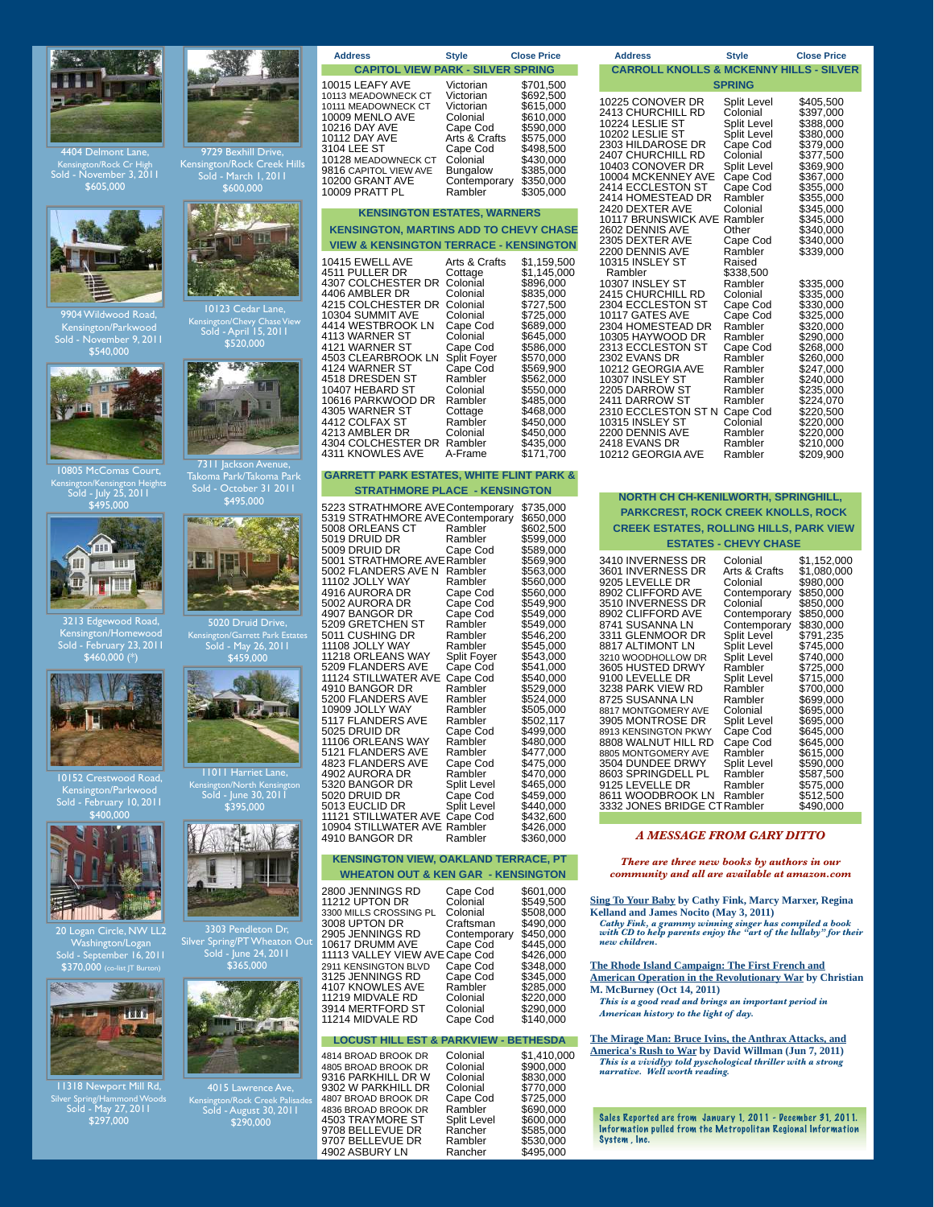

Kensington/Rock Cr High Sold - November 3, 2011 \$605,000



9904 Wildwood Road, Kensington/Parkwood Sold - November 9, 2011 \$540,000



10805 McComas Court, Kensington/Kensington Heights Sold - July 25, 2011 \$495,000



3213 Edgewood Road, Kensington/Homewood Sold - February 23, 2011 \$460,000 (\*)



10152 Crestwood Road, Kensington/Parkwood Sold - February 10, 2011 \$400,000



an Circle, NW LL2 Washington/Logan Sold - September 16, 2011 \$370,000 (co-list JT Burton)



11318 Newport Mill Rd, Silver Spring/Hammond Woods Sold - May 27, 2011 \$297,000



9729 Bexhill Drive, Kensington/Rock Creek Hills Sold - March 1, 2011 \$600,000



Kensington/Chevy Chase View Sold - April 15, 2011 \$520,000



7311 Jackson Avenue, Takoma Park/Takoma Park Sold - October 31 2011 \$495,000



Kensington/Garrett Park Estates Sold - May 26, 2011



11011 Harriet <mark>L</mark>an Kensington/North Kensington Sold - June 30, 2011 \$395,000



Silver Spring/PT Wheaton Out Sold - June 24, 2011 \$365,000



4015 Lawrence Ave, Kensington/Rock Creek Palisades Sold - August 30, 2011 \$290,000

| <b>Address</b>                                                                                                                                                                                                                | <b>Style</b>                                                                                                                                   | <b>Close Price</b>                                                                                                                              |  |
|-------------------------------------------------------------------------------------------------------------------------------------------------------------------------------------------------------------------------------|------------------------------------------------------------------------------------------------------------------------------------------------|-------------------------------------------------------------------------------------------------------------------------------------------------|--|
| <b>CAPITOL VIEW PARK - SILVER SPRING</b>                                                                                                                                                                                      |                                                                                                                                                |                                                                                                                                                 |  |
| 10015 LEAFY AVE<br>10113 MEADOWNECK CT<br>10111 MEADOWNECK CT<br>10009 MENLO AVE<br>10216 DAY AVE<br><b>10112 DAY AVE</b><br>3104 LEE ST<br>10128 MEADOWNECK CT<br>9816 CAPITOL VIEW AVE<br>10200 GRANT AVE<br>10009 PRATT PL | Victorian<br>Victorian<br>Victorian<br>Colonial<br>Cape Cod<br>Arts & Crafts<br>Cape Cod<br>Colonial<br>Bungalow<br>Contemporary<br>Rambler    | \$701,500<br>\$692,500<br>\$615,000<br>\$610,000<br>\$590,000<br>\$575,000<br>\$498,500<br>\$430,000<br>\$385,000<br>\$350,000<br>\$305,000     |  |
| <b>KENSINGTON ESTATES, WARNERS</b>                                                                                                                                                                                            |                                                                                                                                                |                                                                                                                                                 |  |
| <b>KENSINGTON, MARTINS ADD TO CHEVY CHASE</b>                                                                                                                                                                                 |                                                                                                                                                |                                                                                                                                                 |  |
| <b>VIEW &amp; KENSINGTON TERRACE - KENSINGTON</b>                                                                                                                                                                             |                                                                                                                                                |                                                                                                                                                 |  |
| 10415 EWELL AVE<br>4511 PULLER DR<br>4307 COLCHESTER DR<br>4406 AMBLER DR<br>4215 COLCHESTER DR<br>10304 SUMMIT AVE<br>4414 WESTBROOK LN<br>4113 WARNER ST<br>4121 WARNER ST<br>4503 CLEARBROOK LN<br>4124 WARNER ST          | Arts & Crafts<br>Cottage<br>Colonial<br>Colonial<br>Colonial<br>Colonial<br>Cape Cod<br>Colonial<br>Cape Cod<br><b>Split Fover</b><br>Cape Cod | \$1,159,500<br>\$1,145,000<br>\$896,000<br>\$835,000<br>\$727,500<br>\$725,000<br>\$689,000<br>\$645,000<br>\$586,000<br>\$570,000<br>\$569.900 |  |

| 4518 DRESDEN ST    | Rambler  | \$562.000 |
|--------------------|----------|-----------|
| 10407 HEBARD ST    | Colonial | \$550,000 |
| 10616 PARKWOOD DR  | Rambler  | \$485.000 |
| 4305 WARNER ST     | Cottage  | \$468,000 |
| 4412 COLFAX ST     | Rambler  | \$450.000 |
| 4213 AMBLER DR     | Colonial | \$450.000 |
| 4304 COLCHESTER DR | Rambler  | \$435.000 |
| 4311 KNOWLES AVE   | A-Frame  | \$171.700 |
|                    |          |           |

#### **GARRETT PARK ESTATES, WHITE FLINT PARK & STRATHMORE PLACE - KENSINGTON**

| 5223 STRATHMORE AVE Contemporary<br>5319 STRATHMORE AVE Contemporary<br>5008 ORLEANS CT<br>5019 DRUID DR<br>5009 DRUID DR<br>5001 STRATHMORE AVE Rambler<br>5002 FLANDERS AVE N<br>11102 JOLLY WAY<br>4916 AURORA DR<br>5002 AURORA DR<br>4907 BANGOR DR<br>5209 GRETCHEN ST<br>5011 CUSHING DR<br>11108 JOLLY WAY<br>11218 ORLEANS WAY<br>5209 FLANDERS AVE<br><b>11124 STILLWATER AVE</b><br>4910 BANGOR DR<br>5200 FLANDERS AVE<br>10909 JOLLY WAY<br>5117 FLANDERS AVE<br>5025 DRUID DR<br>11106 ORLEANS WAY<br>5121 FLANDERS AVE | Rambler<br>Rambler<br>Cape Cod<br>Rambler<br>Rambler<br>Cape Cod<br>Cape Cod<br>Cape Cod<br>Rambler<br>Rambler<br>Rambler<br>Split Foyer<br>Cape Cod<br>Cape Cod<br>Rambler<br>Rambler<br>Rambler<br>Rambler<br>Cape Cod<br>Rambler<br>Rambler | \$735,000<br>\$650,000<br>\$602,500<br>\$599,000<br>\$589,000<br>\$569,900<br>\$563,000<br>\$560,000<br>\$560,000<br>\$549,900<br>\$549,000<br>\$549,000<br>\$546,200<br>\$545,000<br>\$543,000<br>\$541,000<br>\$540,000<br>\$529,000<br>\$524,000<br>\$505,000<br>\$502,117<br>\$499,000<br>\$480,000<br>\$477,000 |
|---------------------------------------------------------------------------------------------------------------------------------------------------------------------------------------------------------------------------------------------------------------------------------------------------------------------------------------------------------------------------------------------------------------------------------------------------------------------------------------------------------------------------------------|------------------------------------------------------------------------------------------------------------------------------------------------------------------------------------------------------------------------------------------------|----------------------------------------------------------------------------------------------------------------------------------------------------------------------------------------------------------------------------------------------------------------------------------------------------------------------|
| 4823 FLANDERS AVE                                                                                                                                                                                                                                                                                                                                                                                                                                                                                                                     | Cape Cod                                                                                                                                                                                                                                       | \$475,000                                                                                                                                                                                                                                                                                                            |
| 4902 AURORA DR                                                                                                                                                                                                                                                                                                                                                                                                                                                                                                                        | Rambler                                                                                                                                                                                                                                        | \$470,000                                                                                                                                                                                                                                                                                                            |
| 5320 BANGOR DR                                                                                                                                                                                                                                                                                                                                                                                                                                                                                                                        | <b>Split Level</b>                                                                                                                                                                                                                             | \$465,000                                                                                                                                                                                                                                                                                                            |
| 5020 DRUID DR                                                                                                                                                                                                                                                                                                                                                                                                                                                                                                                         | Cape Cod                                                                                                                                                                                                                                       | \$459,000                                                                                                                                                                                                                                                                                                            |
| 5013 EUCLID DR                                                                                                                                                                                                                                                                                                                                                                                                                                                                                                                        | <b>Split Level</b>                                                                                                                                                                                                                             | \$440,000                                                                                                                                                                                                                                                                                                            |
| 11121 STILLWATER AVE                                                                                                                                                                                                                                                                                                                                                                                                                                                                                                                  | Cape Cod                                                                                                                                                                                                                                       | \$432.600                                                                                                                                                                                                                                                                                                            |
| 10904 STILLWATER AVE                                                                                                                                                                                                                                                                                                                                                                                                                                                                                                                  | Rambler                                                                                                                                                                                                                                        | \$426,000                                                                                                                                                                                                                                                                                                            |
| 4910 BANGOR DR                                                                                                                                                                                                                                                                                                                                                                                                                                                                                                                        | Rambler                                                                                                                                                                                                                                        | \$360,000                                                                                                                                                                                                                                                                                                            |

#### **KENSINGTON VIEW, OAKLAND TERRACE, PT WHEATON OUT & KEN GAR - KENSINGTON**

4814 BROAD BROOK DR Colonial \$1,410,000 1605 BROAD BROOK DR Colonial \$900,000<br>9316 PARKHILL DR W Colonial \$830,000 9316 PARKHILL DR W Colonial \$830,000<br>9302 W PARKHILL DR Colonial \$770,000<br>4807 BROAD BROOK DR Cape Cod \$725,000 9302 W PARKHILL DR Colonial<br>4807 BROAD BROOK DR Cape Cod 4807 BROAD BROOK DR Cape Cod \$725,000<br>4836 BROAD BROOK DR Rambler \$690,000<br>4503 TRAYMORE ST Split Level \$600.000 4836 BROAD BROOK DR Rambler \$690,000 4503 TRAYMORE ST Split Level \$600,000 9708 BELLEVUE DR<br>
9708 BELLEVUE DR<br>
9707 BELLEVUE DR<br>
9902 ASBURY LN<br>
8902 ASBURY LN<br>
8902 ASBURY LN<br>
8902 ASBURY LN 9707 BELLEVUE DR Rambler \$530,000 4902 ASBURY LN Rancher \$495,000

| <b>Address</b>                                                                                                                                                                                                                                                                                                                                        | <b>Style</b>                                                                                                                                                                                               | <b>Close Price</b>                                                                                                                                                                                                        |  |
|-------------------------------------------------------------------------------------------------------------------------------------------------------------------------------------------------------------------------------------------------------------------------------------------------------------------------------------------------------|------------------------------------------------------------------------------------------------------------------------------------------------------------------------------------------------------------|---------------------------------------------------------------------------------------------------------------------------------------------------------------------------------------------------------------------------|--|
| <b>CARROLL KNOLLS &amp; MCKENNY HILLS - SILVER</b>                                                                                                                                                                                                                                                                                                    |                                                                                                                                                                                                            |                                                                                                                                                                                                                           |  |
| <b>SPRING</b>                                                                                                                                                                                                                                                                                                                                         |                                                                                                                                                                                                            |                                                                                                                                                                                                                           |  |
| 10225 CONOVER DR<br>2413 CHURCHILL RD<br>10224 LESLIE ST<br>10202 LESLIE ST<br>2303 HILDAROSE DR<br>2407 CHURCHILL RD<br>10403 CONOVER DR<br>10004 MCKENNEY AVE<br>2414 ECCLESTON ST<br>2414 HOMESTEAD DR<br>2420 DEXTER AVE<br>10117 BRUNSWICK AVE<br>2602 DENNIS AVE<br>2305 DEXTER AVE<br>2200 DENNIS AVE<br>10315 INSLEY ST                       | <b>Split Level</b><br>Colonial<br>Split Level<br>Split Level<br>Cape Cod<br>Colonial<br>Split Level<br>Cape Cod<br>Cape Cod<br>Rambler<br>Colonial<br>Rambler<br>Other<br>Cape Cod<br>Rambler<br>Raised    | \$405,500<br>\$397,000<br>\$388,000<br>\$380,000<br>\$379,000<br>\$377,500<br>\$369,900<br>\$367,000<br>\$355,000<br>\$355,000<br>\$345,000<br>\$345,000<br>\$340,000<br>\$340,000<br>\$339,000                           |  |
| Rambler<br>10307 INSLEY ST<br>2415 CHURCHILL RD<br>2304 ECCLESTON ST<br>10117 GATES AVE<br>2304 HOMESTEAD DR<br>10305 HAYWOOD DR<br>2313 ECCLESTON ST<br>2302 EVANS DR<br>10212 GEORGIA AVE<br>10307 INSLEY ST<br>2205 DARROW ST<br>2411 DARROW ST<br>2310 ECCLESTON ST N<br>10315 INSLEY ST<br>2200 DENNIS AVE<br>2418 EVANS DR<br>10212 GEORGIA AVE | \$338,500<br>Rambler<br>Colonial<br>Cape Cod<br>Cape Cod<br>Rambler<br>Rambler<br>Cape Cod<br>Rambler<br>Rambler<br>Rambler<br>Rambler<br>Rambler<br>Cape Cod<br>Colonial<br>Rambler<br>Rambler<br>Rambler | \$335,000<br>\$335,000<br>\$330,000<br>\$325,000<br>\$320,000<br>\$290,000<br>\$268,000<br>\$260,000<br>\$247,000<br>\$240,000<br>\$235,000<br>\$224,070<br>\$220,500<br>\$220,000<br>\$220,000<br>\$210,000<br>\$209,900 |  |

#### **NORTH CH CH-KENILWORTH, SPRINGHILL,**

# **PARKCREST, ROCK CREEK KNOLLS, ROCK**

# **CREEK ESTATES, ROLLING HILLS, PARK VIEW**

| <b>ESTATES - CHEVY CHASE</b>                                        |                    |             |  |
|---------------------------------------------------------------------|--------------------|-------------|--|
| 3410 INVERNESS DR                                                   | Colonial           | \$1,152,000 |  |
| 3601 INVERNESS DR                                                   | Arts & Crafts      | \$1,080,000 |  |
| 9205 LEVELLE DR                                                     | Colonial           | \$980,000   |  |
| 8902 CLIFFORD AVE                                                   | Contemporary       | \$850,000   |  |
| 3510 INVERNESS DR                                                   | Colonial           | \$850,000   |  |
| 8902 CLIFFORD AVE                                                   | Contemporary       | \$850,000   |  |
| 8741 SUSANNA LN                                                     | Contemporary       | \$830,000   |  |
| 3311 GLENMOOR DR                                                    | <b>Split Level</b> | \$791,235   |  |
| 8817 ALTIMONT LN                                                    | Split Level        | \$745,000   |  |
| 3210 WOODHOLLOW DR                                                  | Split Level        | \$740,000   |  |
| 3605 HUSTED DRWY                                                    | Rambler            | \$725,000   |  |
| 9100 LEVELLE DR                                                     | Split Level        | \$715,000   |  |
| 3238 PARK VIEW RD                                                   | Rambler            | \$700,000   |  |
| 8725 SUSANNA LN                                                     | Rambler            | \$699,000   |  |
| 8817 MONTGOMERY AVE                                                 | Colonial           | \$695,000   |  |
| 3905 MONTROSE DR                                                    | Split Level        | \$695,000   |  |
| 8913 KENSINGTON PKWY                                                | Cape Cod           | \$645,000   |  |
| 8808 WALNUT HILL RD                                                 | Cape Cod           | \$645,000   |  |
| 8805 MONTGOMERY AVE                                                 | Rambler            | \$615,000   |  |
| 3504 DUNDEE DRWY                                                    | Split Level        | \$590,000   |  |
| 8603 SPRINGDELL PL                                                  | Rambler            | \$587,500   |  |
| 9125 LEVELLE DR<br>8611 WOODBROOK LN<br>3332 JONES BRIDGE CTRambler | Rambler<br>Rambler |             |  |

#### *A MESSAGE FROM GARY DITTO*

*There are three new books by authors in our community and all are available at amazon.com*

**[Sing To Your Baby](http://www.amazon.com/Sing-Your-Baby-Cathy-Fink/dp/096510365X/ref=sr_1_1?s=books&ie=UTF8&qid=1326302597&sr=1-1) by Cathy Fink, Marcy Marxer, Regina Kelland and James Nocito (May 3, 2011)**

 *Cathy Fink, a grammy winning singer has compiled a book with CD to help parents enjoy the "art of the lullaby" for their new children.*

**[The Rhode Island Campaign: The First French and](http://www.amazon.com/Rhode-Island-Campaign-Operation-Revolutionary/dp/1594161348/ref=sr_1_1?s=books&ie=UTF8&qid=1326302787&sr=1-1)  [American Operation in the Revolutionary War](http://www.amazon.com/Rhode-Island-Campaign-Operation-Revolutionary/dp/1594161348/ref=sr_1_1?s=books&ie=UTF8&qid=1326302787&sr=1-1) by [Christian](http://www.amazon.com/Christian-M.-McBurney/e/B0065L88OI/ref=sr_ntt_srch_lnk_1?qid=1326302787&sr=1-1)  [M. McBurney](http://www.amazon.com/Christian-M.-McBurney/e/B0065L88OI/ref=sr_ntt_srch_lnk_1?qid=1326302787&sr=1-1) (Oct 14, 2011)**  *This is a good read and brings an important period in* 

 *American history to the light of day.*

**[The Mirage Man: Bruce Ivins, the Anthrax Attacks, and](http://www.amazon.com/Mirage-Man-Anthrax-Attacks-Americas/dp/0553807757/ref=sr_1_1?s=books&ie=UTF8&qid=1326302900&sr=1-1)  [America's Rush to War](http://www.amazon.com/Mirage-Man-Anthrax-Attacks-Americas/dp/0553807757/ref=sr_1_1?s=books&ie=UTF8&qid=1326302900&sr=1-1) by [David Willman](http://www.amazon.com/David-Willman/e/B004PMMXGI/ref=sr_ntt_srch_lnk_1?qid=1326302900&sr=1-1) (Jun 7, 2011)**  *This is a vividlyy told pyschological thriller with a strong narrative. Well worth reading.*

Sales Reported are from January 1, 2011 - December 31, 2011. Information pulled from the Metropolitan Regional Information System , Inc.